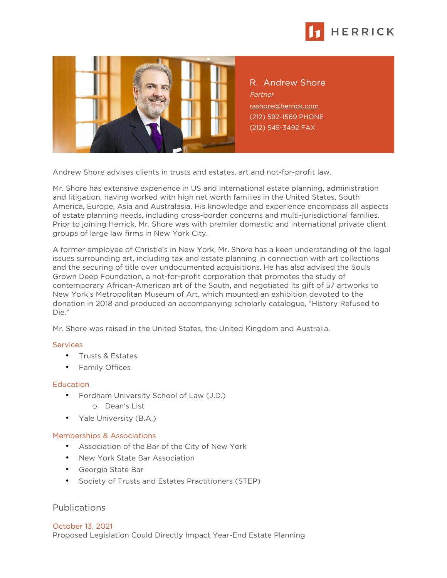



R. Andrew Shore Partner [rashore@herrick.com](mailto:rashore@herrick.com) (212) 592-1569 PHONE (212) 545-3492 FAX

Andrew Shore advises clients in trusts and estates, art and not-for-profit law.

Mr. Shore has extensive experience in US and international estate planning, administration and litigation, having worked with high net worth families in the United States, South America, Europe, Asia and Australasia. His knowledge and experience encompass all aspects of estate planning needs, including cross-border concerns and multi-jurisdictional families. Prior to joining Herrick, Mr. Shore was with premier domestic and international private client groups of large law firms in New York City.

A former employee of Christie's in New York, Mr. Shore has a keen understanding of the legal issues surrounding art, including tax and estate planning in connection with art collections and the securing of title over undocumented acquisitions. He has also advised the Souls Grown Deep Foundation, a not-for-profit corporation that promotes the study of contemporary African-American art of the South, and negotiated its gift of 57 artworks to New York's Metropolitan Museum of Art, which mounted an exhibition devoted to the donation in 2018 and produced an accompanying scholarly catalogue, "History Refused to Die."

Mr. Shore was raised in the United States, the United Kingdom and Australia.

## **Services**

- Trusts & Estates
- Family Offices

## **Education**

- Fordham University School of Law (J.D.)
	- o Dean's List
- Yale University (B.A.)

## Memberships & Associations

- Association of the Bar of the City of New York
- New York State Bar Association
- Georgia State Bar
- Society of Trusts and Estates Practitioners (STEP)

## Publications

October 13, 2021 Proposed Legislation Could Directly Impact Year-End Estate Planning